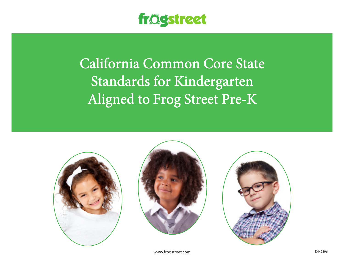

California Common Core State Standards for Kindergarten Aligned to Frog Street Pre-K







www.frogstreet.com exhibition is a series of the series of the series of the series of the series of the series of the series of the series of the series of the series of the series of the series of the series of the serie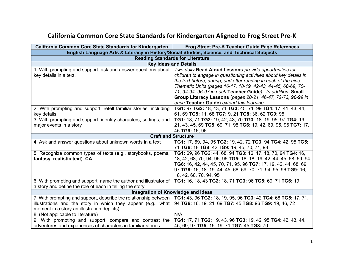## **California Common Core State Standards for Kindergarten Aligned to Frog Street Pre-K**

| California Common Core State Standards for Kindergarten                                                                | Frog Street Pre-K Teacher Guide Page References                                             |
|------------------------------------------------------------------------------------------------------------------------|---------------------------------------------------------------------------------------------|
|                                                                                                                        | English Language Arts & Literacy in History/Social Studies, Science, and Technical Subjects |
| <b>Reading Standards for Literature</b>                                                                                |                                                                                             |
|                                                                                                                        | <b>Key Ideas and Details</b>                                                                |
| 1. With prompting and support, ask and answer questions about   Two daily Read Aloud Lessons provide opportunities for |                                                                                             |
| key details in a text.                                                                                                 | children to engage in questioning activities about key details in                           |
|                                                                                                                        | the text before, during, and after reading in each of the nine                              |
|                                                                                                                        | Thematic Units (pages 16-17, 18-19, 42-43, 44-45, 68-69, 70-                                |
|                                                                                                                        | 71, 94-94, 96-97 in each Teacher Guide). In addition, Small                                 |
|                                                                                                                        | Group Literacy Lessons (pages 20-21, 46-47, 72-73, 98-99 in                                 |
|                                                                                                                        | each Teacher Guide) extend this learning.                                                   |
| 2. With prompting and support, retell familiar stories, including                                                      | TG1: 97 TG2: 18, 43, 71 TG3: 45, 71, 99 TG4: 17, 41, 43, 44,                                |
| key details.                                                                                                           | 61, 69 TG5: 11, 68 TG7: 9, 21 TG8: 36, 62 TG9: 95                                           |
| 3. With prompting and support, identify characters, settings, and                                                      | TG1: 18, 71 TG2: 19, 42, 43, 70 TG3: 18, 19, 95, 97 TG4: 19,                                |
| major events in a story                                                                                                | 21, 43, 45, 69 TG5: 69, 71, 95 TG6: 19, 42, 69, 95, 96 TG7: 17,                             |
|                                                                                                                        | 45 TG9: 16, 96                                                                              |
| <b>Craft and Structure</b>                                                                                             |                                                                                             |
| 4. Ask and answer questions about unknown words in a text                                                              | TG1: 17, 69, 94, 95 TG2: 19, 42, 72 TG3: 94 TG4: 42, 95 TG5:                                |
|                                                                                                                        | 71 TG6: 18 TG8: 42 TG9: 19, 45, 70, 71, 98                                                  |
| 5. Recognize common types of texts (e.g., storybooks, poems,                                                           | TG1: 69, 96 TG2: 44, 68, 94 TG3: 16, 17, 18, 70, 94 TG4: 16,                                |
| fantasy, realistic text). CA                                                                                           | 18, 42, 68, 70, 94, 95, 96 TG5: 16, 18, 19, 42, 44, 45, 68, 69, 94                          |
|                                                                                                                        | TG6: 16, 42, 44, 45, 70, 71, 95, 96 TG7: 17, 19, 42, 44, 68, 69,                            |
|                                                                                                                        | 97 TG8: 16, 18, 19, 44, 45, 68, 69, 70, 71, 94, 95, 96 TG9: 16,                             |
|                                                                                                                        | 18, 42, 68, 70, 94, 95                                                                      |
| 6. With prompting and support, name the author and illustrator of                                                      | TG1: 16, 18, 43 TG2: 18, 71 TG3: 96 TG5: 69, 71 TG6: 19                                     |
| a story and define the role of each in telling the story.                                                              |                                                                                             |
| Integration of Knowledge and Ideas                                                                                     |                                                                                             |
| 7. With prompting and support, describe the relationship between                                                       | TG1: 43, 96 TG2: 18, 19, 95, 96 TG3: 42 TG4: 68 TG5: 17, 71,                                |
| illustrations and the story in which they appear (e.g., what                                                           | 94 TG6: 16, 19, 21, 69 TG7: 45 TG8: 96 TG9: 19, 46, 72                                      |
| moment in a story an illustration depicts).                                                                            |                                                                                             |
| 8. (Not applicable to literature)                                                                                      | N/A                                                                                         |
| 9. With prompting and support, compare and contrast the                                                                | TG1: 17, 71 TG2: 19, 43, 96 TG3: 19, 42, 95 TG4: 42, 43, 44,                                |
| adventures and experiences of characters in familiar stories                                                           | 45, 69, 97 TG5: 15, 19, 71 TG7: 45 TG8: 70                                                  |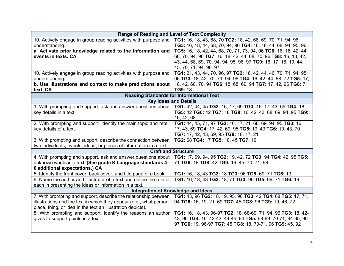| <b>Range of Reading and Level of Text Complexity</b>                                                                         |                                                                  |
|------------------------------------------------------------------------------------------------------------------------------|------------------------------------------------------------------|
| 10. Actively engage in group reading activities with purpose and                                                             | TG1: 16, 18, 43, 68, 70 TG2: 18, 42, 68, 69, 70, 71, 94, 96      |
| understanding.                                                                                                               | TG3: 16, 18, 44, 68, 70, 94, 96 TG4: 16, 18, 44, 68, 94, 95, 96  |
| a. Activate prior knowledge related to the information and                                                                   | TG5: 16, 18, 42, 44, 68, 70, 71, 73, 94, 96 TG6: 16, 18, 42, 44, |
| events in texts. CA                                                                                                          | 68, 70, 94, 96 TG7: 16, 18, 42, 44, 68, 70, 96 TG8: 16, 18, 42,  |
|                                                                                                                              | 43, 44, 68, 69, 70, 94, 94, 95, 96, 97 TG9: 16, 17, 18, 19, 44,  |
|                                                                                                                              | 45, 70, 71, 94, 96, 97                                           |
| 10. Actively engage in group reading activities with purpose and                                                             | TG1: 21, 43, 44, 70, 96, 97 TG2: 18, 42, 44, 46, 70, 71, 94, 95, |
| understanding.                                                                                                               | 96 TG3: 18, 42, 70, 71, 94, 96 TG4: 16, 42, 44, 68, 72 TG5: 17,  |
| b. Use illustrations and context to make predictions about                                                                   | 18, 42, 68, 70, 94 TG6: 18, 68, 69, 94 TG7: 17, 42, 96 TG8: 71   |
| text. CA                                                                                                                     | <b>TG9: 18</b>                                                   |
| <b>Reading Standards for Informational Text</b>                                                                              |                                                                  |
|                                                                                                                              | <b>Key Ideas and Details</b>                                     |
| 1. With prompting and support, ask and answer questions about   TG1: 42, 44, 45 TG2: 16, 17, 69 TG3: 16, 17, 43, 69 TG4: 18  |                                                                  |
| key details in a text.                                                                                                       | TG5: 42 TG6: 42 TG7: 18 TG8: 16, 42, 43, 68, 69, 94, 95 TG9:     |
|                                                                                                                              | 16, 42, 68                                                       |
| 2. With prompting and support, identify the main topic and retell                                                            | TG1: 44, 45, 71, 97 TG2: 16, 17, 21, 68, 69, 94, 95 TG3: 16,     |
| key details of a text.                                                                                                       | 17, 43, 69 TG4: 17, 42, 69, 95 TG5: 19, 43 TG6: 19, 43, 70       |
|                                                                                                                              | TG7: 17, 42, 43, 69, 95 TG8: 16, 17, 21                          |
| 3. With prompting and support, describe the connection between                                                               | TG2: 68 TG4: 17 TG5: 18, 45 TG7: 19                              |
| two individuals, events, ideas, or pieces of information in a text.                                                          |                                                                  |
| <b>Craft and Structure</b>                                                                                                   |                                                                  |
| 4. With prompting and support, ask and answer questions about   TG1: 17, 69, 94, 95 TG2: 19, 42, 72 TG3: 94 TG4: 42, 95 TG5: |                                                                  |
| unknown words in a text. (See grade K Language standards 4-                                                                  | 71 TG6: 18 TG8: 42 TG9: 19, 45, 70, 71, 98                       |
| 6 additional expectations.) CA                                                                                               |                                                                  |
| 5. Identify the front cover, back cover, and title page of a book.                                                           | TG1: 16, 18, 43 TG2: 18 TG3: 96 TG5: 69, 71 TG6: 19              |
| 6. Name the author and illustrator of a text and define the role of                                                          | TG1: 16, 18, 43 TG2: 18, 71 TG3: 96 TG5: 69, 71 TG6: 19          |
| each in presenting the ideas or information in a text.                                                                       |                                                                  |
| Integration of Knowledge and Ideas                                                                                           |                                                                  |
| 7. With prompting and support, describe the relationship between                                                             | TG1: 43, 96 TG2: 18, 19, 95, 96 TG3: 42 TG4: 68 TG5: 17, 71,     |
| illustrations and the text in which they appear (e.g., what person,                                                          | 94 TG6: 16, 19, 21, 69 TG7: 45 TG8: 96 TG9: 19, 46, 72           |
| place, thing, or idea in the text an illustration depicts).                                                                  |                                                                  |
| 8. With prompting and support, identify the reasons an author                                                                | TG1: 16, 18, 43, 96-97 TG2: 18, 68-69, 71, 94, 96 TG3: 18, 42-   |
| gives to support points in a text.                                                                                           | 43, 96 TG4: 16, 42-43, 44-45, 94 TG5: 68-69, 70-71, 94-95, 96-   |
|                                                                                                                              | 97 TG6: 19, 96-97 TG7: 45 TG8: 18, 70-71, 96 TG9: 45, 92         |
|                                                                                                                              |                                                                  |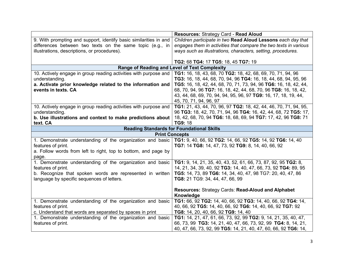|                                                                                                                         | Resources: Strategy Card - Read Aloud                                                                                      |
|-------------------------------------------------------------------------------------------------------------------------|----------------------------------------------------------------------------------------------------------------------------|
| 9. With prompting and support, identify basic similarities in and                                                       | Children participate in two Read Aloud Lessons each day that                                                               |
| differences between two texts on the same topic (e.g., in                                                               | engages them in activities that compare the two texts in various                                                           |
| illustrations, descriptions, or procedures).                                                                            | ways such as illustrations, characters, setting, procedures.                                                               |
|                                                                                                                         |                                                                                                                            |
|                                                                                                                         | TG2: 68 TG4: 17 TG5: 18, 45 TG7: 19                                                                                        |
|                                                                                                                         | Range of Reading and Level of Text Complexity                                                                              |
| 10. Actively engage in group reading activities with purpose and                                                        | TG1: 16, 18, 43, 68, 70 TG2: 18, 42, 68, 69, 70, 71, 94, 96                                                                |
| understanding.                                                                                                          | TG3: 16, 18, 44, 68, 70, 94, 96 TG4: 16, 18, 44, 68, 94, 95, 96                                                            |
| a. Activate prior knowledge related to the information and                                                              | TG5: 16, 18, 42, 44, 68, 70, 71, 73, 94, 96 TG6: 16, 18, 42, 44,                                                           |
| events in texts. CA                                                                                                     | 68, 70, 94, 96 TG7: 16, 18, 42, 44, 68, 70, 96 TG8: 16, 18, 42,                                                            |
|                                                                                                                         | 43, 44, 68, 69, 70, 94, 94, 95, 96, 97 TG9: 16, 17, 18, 19, 44,                                                            |
|                                                                                                                         | 45, 70, 71, 94, 96, 97                                                                                                     |
| 10. Actively engage in group reading activities with purpose and                                                        | TG1: 21, 43, 44, 70, 96, 97 TG2: 18, 42, 44, 46, 70, 71, 94, 95,                                                           |
| understanding.                                                                                                          | 96 TG3: 18, 42, 70, 71, 94, 96 TG4: 16, 42, 44, 68, 72 TG5: 17,                                                            |
| b. Use illustrations and context to make predictions about                                                              | 18, 42, 68, 70, 94 TG6: 18, 68, 69, 94 TG7: 17, 42, 96 TG8: 71                                                             |
| text. CA                                                                                                                | TG9: 18                                                                                                                    |
|                                                                                                                         | <b>Reading Standards for Foundational Skills</b>                                                                           |
|                                                                                                                         | <b>Print Concepts</b>                                                                                                      |
| 1. Demonstrate understanding of the organization and basic   TG1: 9, 40, 66, 92 TG2: 14, 66, 92 TG5: 14, 92 TG6: 14, 40 |                                                                                                                            |
| features of print.                                                                                                      | TG7: 14 TG8: 14, 47, 73, 92 TG9: 8, 14, 40, 66, 92                                                                         |
| a. Follow words from left to right, top to bottom, and page by                                                          |                                                                                                                            |
| page.                                                                                                                   |                                                                                                                            |
| 1. Demonstrate understanding of the organization and basic                                                              | TG1: 9, 14, 21, 35, 40, 43, 52, 61, 66, 73, 87, 92, 95 TG2: 8,                                                             |
| features of print.                                                                                                      | 14, 21, 34, 39, 40, 92 TG3: 14, 40, 47, 66, 73, 92 TG4: 89, 95                                                             |
| b. Recognize that spoken words are represented in written                                                               | TG5: 14, 73, 89 TG6: 14, 34, 40, 47, 98 TG7: 20, 40, 47, 86                                                                |
| language by specific sequences of letters.                                                                              | TG8: 21 TG9: 34, 44, 47, 66, 99                                                                                            |
|                                                                                                                         |                                                                                                                            |
|                                                                                                                         | Resources: Strategy Cards: Read-Aloud and Alphabet                                                                         |
|                                                                                                                         | Knowledge                                                                                                                  |
| 1. Demonstrate understanding of the organization and basic                                                              | TG1: 66, 92 TG2: 14, 40, 66, 92 TG3: 14, 40, 66, 92 TG4: 14,<br>40, 66, 92 TG5: 14, 40, 66, 92 TG6: 14, 40, 66, 92 TG7: 92 |
| features of print.                                                                                                      |                                                                                                                            |
| c. Understand that words are separated by spaces in print<br>1. Demonstrate understanding of the organization and basic | TG8: 14, 20, 40, 66, 92 TG9: 14, 40<br>TG1: 14, 21, 47, 61, 66, 73, 92, 99 TG2: 9, 14, 21, 35, 40, 47,                     |
| features of print.                                                                                                      | 66, 73, 99 TG3: 14, 21, 40, 47, 66, 73, 92, 99 TG4: 8, 14, 21,                                                             |
|                                                                                                                         |                                                                                                                            |
|                                                                                                                         | 40, 47, 66, 73, 92, 99 TG5: 14, 21, 40, 47, 60, 66, 92 TG6: 14,                                                            |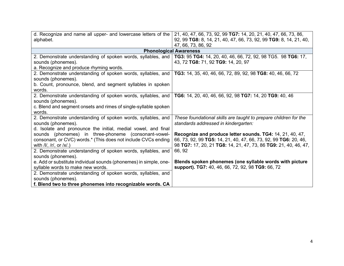| d. Recognize and name all upper- and lowercase letters of the<br>alphabet.                                                  | 21, 40, 47, 66, 73, 92, 99 TG7: 14, 20, 21, 40, 47, 66, 73, 86,<br>92, 99 TG8: 8, 14, 21, 40, 47, 66, 73, 92, 99 TG9: 8, 14, 21, 40,<br>47, 66, 73, 86, 92 |
|-----------------------------------------------------------------------------------------------------------------------------|------------------------------------------------------------------------------------------------------------------------------------------------------------|
|                                                                                                                             | <b>Phonological Awareness</b>                                                                                                                              |
| 2. Demonstrate understanding of spoken words, syllables, and   TG3: 95 TG4: 14, 20, 40, 46, 66, 72, 92, 98 TG5. 98 TG6: 17, |                                                                                                                                                            |
| sounds (phonemes).                                                                                                          | 43, 72 TG8: 71, 92 TG9: 14, 20, 97                                                                                                                         |
| a. Recognize and produce rhyming words.                                                                                     |                                                                                                                                                            |
| 2. Demonstrate understanding of spoken words, syllables, and                                                                | TG3: 14, 35, 40, 46, 66, 72, 89, 92, 98 TG8: 40, 46, 66, 72                                                                                                |
| sounds (phonemes).                                                                                                          |                                                                                                                                                            |
| b. Count, pronounce, blend, and segment syllables in spoken                                                                 |                                                                                                                                                            |
| words.                                                                                                                      |                                                                                                                                                            |
| 2. Demonstrate understanding of spoken words, syllables, and                                                                | TG6: 14, 20, 40, 46, 66, 92, 98 TG7: 14, 20 TG9: 40, 46                                                                                                    |
| sounds (phonemes).                                                                                                          |                                                                                                                                                            |
| c. Blend and segment onsets and rimes of single-syllable spoken                                                             |                                                                                                                                                            |
| words.                                                                                                                      |                                                                                                                                                            |
| 2. Demonstrate understanding of spoken words, syllables, and                                                                | These foundational skills are taught to prepare children for the                                                                                           |
| sounds (phonemes).                                                                                                          | standards addressed in kindergarten:                                                                                                                       |
| d. Isolate and pronounce the initial, medial vowel, and final                                                               |                                                                                                                                                            |
| sounds (phonemes) in three-phoneme (consonant-vowel-                                                                        | Recognize and produce letter sounds. TG4: 14, 21, 40, 47,                                                                                                  |
| consonant, or CVC) words.* (This does not include CVCs ending                                                               | 66, 73, 92, 99 TG5: 14, 21, 40, 47, 66, 73, 92, 99 TG6: 20, 46,                                                                                            |
| with $/I/$ , $/I/$ , or $/X/$ .)                                                                                            | 98 TG7: 17, 20, 21 TG8: 14, 21, 47, 73, 86 TG9: 21, 40, 46, 47,                                                                                            |
| 2. Demonstrate understanding of spoken words, syllables, and                                                                | 66, 92                                                                                                                                                     |
| sounds (phonemes).                                                                                                          |                                                                                                                                                            |
| e. Add or substitute individual sounds (phonemes) in simple, one-                                                           | Blends spoken phonemes (one syllable words with picture                                                                                                    |
| syllable words to make new words.                                                                                           | support). TG7: 40, 46, 66, 72, 92, 98 TG9: 66, 72                                                                                                          |
| 2. Demonstrate understanding of spoken words, syllables, and                                                                |                                                                                                                                                            |
| sounds (phonemes).                                                                                                          |                                                                                                                                                            |
| f. Blend two to three phonemes into recognizable words. CA                                                                  |                                                                                                                                                            |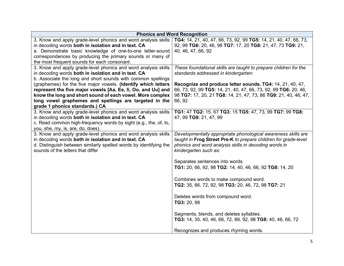|                                                                                                                       | <b>Phonics and Word Recognition</b>                                                                                              |
|-----------------------------------------------------------------------------------------------------------------------|----------------------------------------------------------------------------------------------------------------------------------|
| 3. Know and apply grade-level phonics and word analysis skills                                                        | TG4: 14, 21, 40, 47, 66, 73, 92, 99 TG5: 14, 21, 40, 47, 66, 73,                                                                 |
| in decoding words both in isolation and in text. CA                                                                   | 92, 99 TG6: 20, 46, 98 TG7: 17, 20 TG8: 21, 47, 73 TG9: 21,                                                                      |
| a. Demonstrate basic knowledge of one-to-one letter-sound                                                             | 40, 46, 47, 66, 92                                                                                                               |
| correspondences by producing the primary sounds or many of                                                            |                                                                                                                                  |
| the most frequent sounds for each consonant.                                                                          |                                                                                                                                  |
| 3. Know and apply grade-level phonics and word analysis skills                                                        | These foundational skills are taught to prepare children for the                                                                 |
| in decoding words both in isolation and in text. CA                                                                   | standards addressed in kindergarten:                                                                                             |
| b. Associate the long and short sounds with common spellings                                                          |                                                                                                                                  |
| (graphemes) for the five major vowels. (Identify which letters                                                        | Recognize and produce letter sounds. TG4: 14, 21, 40, 47,                                                                        |
| represent the five major vowels [Aa, Ee, Ii, Oo, and Uu] and                                                          | 66, 73, 92, 99 TG5: 14, 21, 40, 47, 66, 73, 92, 99 TG6: 20, 46,                                                                  |
| know the long and short sound of each vowel. More complex                                                             | 98 TG7: 17, 20, 21 TG8: 14, 21, 47, 73, 86 TG9: 21, 40, 46, 47,                                                                  |
| long vowel graphemes and spellings are targeted in the                                                                | 66, 92                                                                                                                           |
| grade 1 phonics standards.) CA                                                                                        |                                                                                                                                  |
| 3. Know and apply grade-level phonics and word analysis skills                                                        | TG1: 47 TG2: 15, 67 TG3: 15 TG5: 47, 73, 99 TG7: 99 TG8:                                                                         |
| in decoding words both in isolation and in text. CA                                                                   | 47, 99 TG9: 21, 47, 99                                                                                                           |
| c. Read common high-frequency words by sight (e.g., the, of, to,                                                      |                                                                                                                                  |
| you, she, my, is, are, do, does).                                                                                     |                                                                                                                                  |
| 3. Know and apply grade-level phonics and word analysis skills<br>in decoding words both in isolation and in text. CA | Developmentally appropriate phonological awareness skills are<br>taught in Frog Street Pre-K to prepare children for grade-level |
| d. Distinguish between similarly spelled words by identifying the                                                     | phonics and word analysis skills in decoding words in                                                                            |
| sounds of the letters that differ                                                                                     | kindergarten such as:                                                                                                            |
|                                                                                                                       |                                                                                                                                  |
|                                                                                                                       | Separates sentences into words.                                                                                                  |
|                                                                                                                       | TG1: 20, 66, 92, 98 TG2: 14, 40, 46, 66, 92 TG8: 14, 20                                                                          |
|                                                                                                                       |                                                                                                                                  |
|                                                                                                                       | Combines words to make compound word.                                                                                            |
|                                                                                                                       | TG2: 35, 66, 72, 92, 98 TG3: 20, 46, 72, 98 TG7: 21                                                                              |
|                                                                                                                       |                                                                                                                                  |
|                                                                                                                       |                                                                                                                                  |
|                                                                                                                       | Deletes words from compound word.                                                                                                |
|                                                                                                                       | TG3: 20, 98                                                                                                                      |
|                                                                                                                       |                                                                                                                                  |
|                                                                                                                       | Segments, blends, and deletes syllables.<br>TG3: 14, 35, 40, 46, 66, 72, 89, 92, 98 TG8: 40, 46, 66, 72                          |
|                                                                                                                       |                                                                                                                                  |
|                                                                                                                       | Recognizes and produces rhyming words.                                                                                           |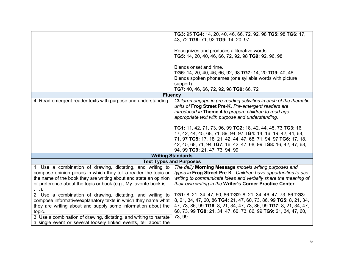|                                                                                                                                                                                                                                                                                                                                                | TG3: 95 TG4: 14, 20, 40, 46, 66, 72, 92, 98 TG5: 98 TG6: 17,<br>43, 72 TG8: 71, 92 TG9: 14, 20, 97<br>Recognizes and produces alliterative words.<br>TG5: 14, 20, 40, 46, 66, 72, 92, 98 TG9: 92, 96, 98<br>Blends onset and rime.<br>TG6: 14, 20, 40, 46, 66, 92, 98 TG7: 14, 20 TG9: 40, 46           |
|------------------------------------------------------------------------------------------------------------------------------------------------------------------------------------------------------------------------------------------------------------------------------------------------------------------------------------------------|---------------------------------------------------------------------------------------------------------------------------------------------------------------------------------------------------------------------------------------------------------------------------------------------------------|
|                                                                                                                                                                                                                                                                                                                                                | Blends spoken phonemes (one syllable words with picture<br>support).                                                                                                                                                                                                                                    |
|                                                                                                                                                                                                                                                                                                                                                | TG7: 40, 46, 66, 72, 92, 98 TG9: 66, 72                                                                                                                                                                                                                                                                 |
| <b>Fluency</b>                                                                                                                                                                                                                                                                                                                                 |                                                                                                                                                                                                                                                                                                         |
| 4. Read emergent-reader texts with purpose and understanding.                                                                                                                                                                                                                                                                                  | Children engage in pre-reading activities in each of the thematic<br>units of Frog Street Pre-K. Pre-emergent readers are<br>introduced in Theme 4 to prepare children to read age-<br>appropriate text with purpose and understanding.                                                                 |
|                                                                                                                                                                                                                                                                                                                                                | TG1: 11, 42, 71, 73, 96, 99 TG2: 18, 42, 44, 45, 73 TG3: 16,<br>17, 42, 44, 45, 68, 71, 89, 94, 97 TG4: 14, 16, 19, 42, 44, 68,<br>71, 97 TG5: 17, 18, 21, 42, 44, 47, 68, 71, 94, 97 TG6: 17, 18,<br>42, 45, 68, 71, 94 TG7: 16, 42, 47, 68, 99 TG8: 16, 42, 47, 68,<br>94, 99 TG9: 21, 47, 73, 94, 99 |
|                                                                                                                                                                                                                                                                                                                                                | <b>Writing Standards</b>                                                                                                                                                                                                                                                                                |
| <b>Text Types and Purposes</b>                                                                                                                                                                                                                                                                                                                 |                                                                                                                                                                                                                                                                                                         |
| 1. Use a combination of drawing, dictating, and writing to<br>compose opinion pieces in which they tell a reader the topic or<br>the name of the book they are writing about and state an opinion<br>or preference about the topic or book (e.g., My favorite book is                                                                          | The daily Morning Message models writing purposes and<br>types in Frog Street Pre-K. Children have opportunities to use<br>writing to communicate ideas and verbally share the meaning of<br>their own writing in the Writer's Corner Practice Center.                                                  |
| 2. Use a combination of drawing, dictating, and writing to<br>compose informative/explanatory texts in which they name what<br>they are writing about and supply some information about the<br>topic.<br>3. Use a combination of drawing, dictating, and writing to narrate<br>a single event or several loosely linked events, tell about the | TG1: 8, 21, 34, 47, 60, 86 TG2: 8, 21, 34, 46, 47, 73, 86 TG3:<br>8, 21, 34, 47, 60, 86 TG4: 21, 47, 60, 73, 86, 99 TG5: 8, 21, 34,<br>47, 73, 86, 99 TG6: 8, 21, 34, 47, 73, 86, 99 TG7: 8, 21, 34, 47,<br>60, 73, 99 TG8: 21, 34, 47, 60, 73, 86, 99 TG9: 21, 34, 47, 60,<br>73, 99                   |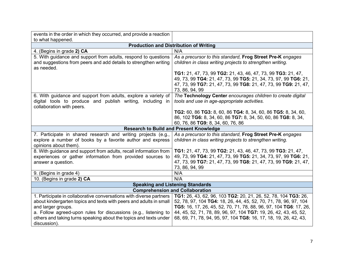| events in the order in which they occurred, and provide a reaction                                                                                                                                                                                                                                                      |                                                                                                                                                                                                                                                                                                                                                 |
|-------------------------------------------------------------------------------------------------------------------------------------------------------------------------------------------------------------------------------------------------------------------------------------------------------------------------|-------------------------------------------------------------------------------------------------------------------------------------------------------------------------------------------------------------------------------------------------------------------------------------------------------------------------------------------------|
| to what happened.                                                                                                                                                                                                                                                                                                       |                                                                                                                                                                                                                                                                                                                                                 |
|                                                                                                                                                                                                                                                                                                                         | <b>Production and Distribution of Writing</b>                                                                                                                                                                                                                                                                                                   |
| 4. (Begins in grade 2) CA                                                                                                                                                                                                                                                                                               | N/A                                                                                                                                                                                                                                                                                                                                             |
| 5. With guidance and support from adults, respond to questions<br>and suggestions from peers and add details to strengthen writing<br>as needed.                                                                                                                                                                        | As a precursor to this standard, Frog Street Pre-K engages<br>children in class writing projects to strengthen writing.                                                                                                                                                                                                                         |
|                                                                                                                                                                                                                                                                                                                         | TG1: 21, 47, 73, 99 TG2: 21, 43, 46, 47, 73, 99 TG3: 21, 47,<br>49, 73, 99 TG4: 21, 47, 73, 99 TG5: 21, 34, 73, 97, 99 TG6: 21,<br>47, 73, 99 TG7: 21, 47, 73, 99 TG8: 21, 47, 73, 99 TG9: 21, 47,<br>73, 86, 94, 99                                                                                                                            |
| 6. With guidance and support from adults, explore a variety of<br>digital tools to produce and publish writing, including in<br>collaboration with peers.                                                                                                                                                               | The Technology Center encourages children to create digital<br>tools and use in age-appropriate activities.                                                                                                                                                                                                                                     |
|                                                                                                                                                                                                                                                                                                                         | TG2: 60, 86 TG3: 8, 60, 86 TG4: 8, 34, 60, 86 TG5: 8, 34, 60,<br>86, 102 TG6: 8, 34, 60, 86 TG7: 8, 34, 50, 60, 86 TG8: 8, 34,<br>60, 76, 86 TG9: 8, 34, 60, 76, 86                                                                                                                                                                             |
|                                                                                                                                                                                                                                                                                                                         | <b>Research to Build and Present Knowledge</b>                                                                                                                                                                                                                                                                                                  |
| 7. Participate in shared research and writing projects (e.g.,<br>explore a number of books by a favorite author and express<br>opinions about them).                                                                                                                                                                    | As a precursor to this standard, Frog Street Pre-K engages<br>children in class writing projects to strengthen writing.                                                                                                                                                                                                                         |
| 8. With guidance and support from adults, recall information from<br>experiences or gather information from provided sources to<br>answer a question.                                                                                                                                                                   | TG1: 21, 47, 73, 99 TG2: 21, 43, 46, 47, 73, 99 TG3: 21, 47,<br>49, 73, 99 TG4: 21, 47, 73, 99 TG5: 21, 34, 73, 97, 99 TG6: 21,<br>47, 73, 99 TG7: 21, 47, 73, 99 TG8: 21, 47, 73, 99 TG9: 21, 47,<br>73, 86, 94, 99                                                                                                                            |
| 9. (Begins in grade 4)                                                                                                                                                                                                                                                                                                  | N/A                                                                                                                                                                                                                                                                                                                                             |
| 10. (Begins in grade 2) CA                                                                                                                                                                                                                                                                                              | N/A                                                                                                                                                                                                                                                                                                                                             |
| <b>Speaking and Listening Standards</b>                                                                                                                                                                                                                                                                                 |                                                                                                                                                                                                                                                                                                                                                 |
|                                                                                                                                                                                                                                                                                                                         | <b>Comprehension and Collaboration</b>                                                                                                                                                                                                                                                                                                          |
| 1. Participate in collaborative conversations with diverse partners<br>about kindergarten topics and texts with peers and adults in small<br>and larger groups.<br>a. Follow agreed-upon rules for discussions (e.g., listening to<br>others and taking turns speaking about the topics and texts under<br>discussion). | TG1: 26, 43, 62, 96, 103 TG2: 20, 21, 26, 52, 78, 104 TG3: 26,<br>52, 78, 97, 104 TG4: 18, 26, 44, 45, 52, 70, 71, 78, 96, 97, 104<br>TG5: 16, 17, 26, 45, 52, 70, 71, 78, 88, 96, 97, 104 TG6: 17, 26,<br>44, 45, 52, 71, 78, 89, 96, 97, 104 TG7: 19, 26, 42, 43, 45, 52,<br>68, 69, 71, 78, 94, 95, 97, 104 TG8: 16, 17, 18, 19, 26, 42, 43, |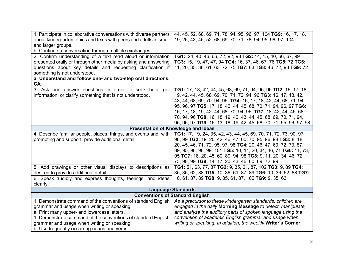| 1. Participate in collaborative conversations with diverse partners<br>about kindergarten topics and texts with peers and adults in small<br>and larger groups.<br>b. Continue a conversation through multiple exchanges.                                                                                  | 44, 45, 52, 68, 69, 71, 78, 94, 95, 96, 97, 104 TG9: 16, 17, 18,<br>19, 26, 43, 45, 52, 68, 69, 70, 71, 78, 94, 95, 96, 97, 104                                                                                                                                                                                                                                                                                                                                                       |
|------------------------------------------------------------------------------------------------------------------------------------------------------------------------------------------------------------------------------------------------------------------------------------------------------------|---------------------------------------------------------------------------------------------------------------------------------------------------------------------------------------------------------------------------------------------------------------------------------------------------------------------------------------------------------------------------------------------------------------------------------------------------------------------------------------|
| 2. Confirm understanding of a text read aloud or information<br>presented orally or through other media by asking and answering<br>questions about key details and requesting clarification if<br>something is not understood.<br>a. Understand and follow one- and two-step oral directions.<br><b>CA</b> | TG1: 24, 40, 46, 66, 72, 92, 98 TG2: 14, 15, 40, 66, 67, 99<br>TG3: 15, 19, 47, 47, 94 TG4: 16, 37, 46, 67, 76 TG5: 72 TG6:<br>11, 20, 35, 38, 61, 63, 72, 75 TG7: 63 TG8: 46, 72, 98 TG9: 72                                                                                                                                                                                                                                                                                         |
| 3. Ask and answer questions in order to seek help, get<br>information, or clarify something that is not understood.                                                                                                                                                                                        | TG1: 17, 18, 42, 44, 45, 68, 69, 71, 94, 95, 96 TG2: 16, 17, 18,<br>19, 42, 44, 45, 68, 69, 70, 71, 72, 94, 96 TG3: 16, 17, 18, 42,<br>43, 44, 68, 69, 70, 94, 96 TG4: 16, 17, 18, 42, 44, 68, 71, 94,<br>95, 96, 97 TG5: 17, 18, 42, 44, 45, 68, 70, 71, 94, 96, 97 TG6:<br>16, 17, 18, 19, 42, 44, 68, 70, 94, 96 TG7: 18, 42, 44, 45, 68,<br>70, 94, 96 TG8: 16, 18, 19, 42, 43, 44, 45, 68, 69, 70, 71, 94,<br>95, 96, 97 TG9: 16, 13, 18, 19, 42, 45, 68, 70, 71, 95, 96, 97, 98 |
| <b>Presentation of Knowledge and Ideas</b>                                                                                                                                                                                                                                                                 |                                                                                                                                                                                                                                                                                                                                                                                                                                                                                       |
| 4. Describe familiar people, places, things, and events and, with<br>prompting and support, provide additional detail.                                                                                                                                                                                     | TG1: 17, 19, 24, 35, 42, 43, 44, 45, 69, 70, 71, 72, 73, 90, 97,<br>98, 99 TG2: 19, 20, 42, 46, 47, 60, 70, 95, 96, 98 TG3: 8, 18,<br>20, 45, 46, 71, 72, 95, 97, 98 TG4: 20, 46, 47, 60, 72, 73, 87,<br>89, 95, 96, 98, 99, 101 TG5: 10, 11, 20, 34, 46, 71 TG6: 11, 73,<br>95 TG7: 18, 20, 45, 60, 89, 94, 98 TG8: 9, 11, 20, 34, 46, 72,<br>73, 98, 99 TG9: 14, 17, 20, 43, 46, 60, 69, 72, 99                                                                                     |
| 5. Add drawings or other visual displays to descriptions as<br>desired to provide additional detail.<br>6. Speak audibly and express thoughts, feelings, and ideas<br>clearly.                                                                                                                             | TG1: 51, 63, 77, 87 TG2: 9, 35, 61, 87, 102 TG3: 9, 89 TG4:<br>35, 36, 62, 88 TG5: 10, 36, 61, 87, 89 TG6: 10, 36, 62, 88 TG7:<br>10, 61, 87, 89 TG8: 9, 35, 61, 87, 102 TG9: 9, 35, 63                                                                                                                                                                                                                                                                                               |
|                                                                                                                                                                                                                                                                                                            | <b>Language Standards</b>                                                                                                                                                                                                                                                                                                                                                                                                                                                             |
|                                                                                                                                                                                                                                                                                                            | <b>Conventions of Standard English</b>                                                                                                                                                                                                                                                                                                                                                                                                                                                |
| 1. Demonstrate command of the conventions of standard English<br>grammar and usage when writing or speaking.<br>a. Print many upper- and lowercase letters.<br>1. Demonstrate command of the conventions of standard English<br>grammar and usage when writing or speaking.                                | As a precursor to these kindergarten standards, children are<br>engaged in the daily Morning Message to detect, manipulate,<br>and analyze the auditory parts of spoken language using the<br>convention of academic English grammar and usage when<br>writing or speaking. In addition, the weekly Writer's Corner                                                                                                                                                                   |
| b. Use frequently occurring nouns and verbs.                                                                                                                                                                                                                                                               |                                                                                                                                                                                                                                                                                                                                                                                                                                                                                       |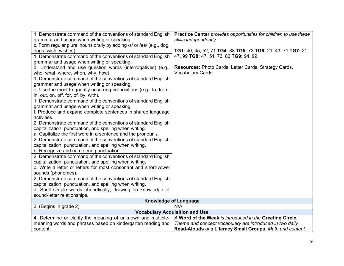| 1. Demonstrate command of the conventions of standard English         | Practice Center provides opportunities for children to use these |
|-----------------------------------------------------------------------|------------------------------------------------------------------|
| grammar and usage when writing or speaking.                           | skills independently.                                            |
| c. Form regular plural nouns orally by adding /s/ or /es/ (e.g., dog, |                                                                  |
| dogs; wish, wishes).                                                  | TG1: 40, 45, 52, 71 TG4: 88 TG5: 73 TG6: 21, 43, 71 TG7: 21,     |
| 1. Demonstrate command of the conventions of standard English         | 47, 99 TG8: 47, 51, 73, 86 TG9: 94, 99                           |
| grammar and usage when writing or speaking.                           |                                                                  |
| d. Understand and use question words (interrogatives) (e.g.,          | <b>Resources: Photo Cards, Letter Cards, Strategy Cards,</b>     |
| who, what, where, when, why, how).                                    | <b>Vocabulary Cards</b>                                          |
| 1. Demonstrate command of the conventions of standard English         |                                                                  |
| grammar and usage when writing or speaking.                           |                                                                  |
| e. Use the most frequently occurring prepositions (e.g., to, from,    |                                                                  |
| in, out, on, off, for, of, by, with).                                 |                                                                  |
| 1. Demonstrate command of the conventions of standard English         |                                                                  |
| grammar and usage when writing or speaking.                           |                                                                  |
| f. Produce and expand complete sentences in shared language           |                                                                  |
| activities.                                                           |                                                                  |
| 2. Demonstrate command of the conventions of standard English         |                                                                  |
| capitalization, punctuation, and spelling when writing.               |                                                                  |
| a. Capitalize the first word in a sentence and the pronoun <i>l.</i>  |                                                                  |
| 2. Demonstrate command of the conventions of standard English         |                                                                  |
| capitalization, punctuation, and spelling when writing.               |                                                                  |
| b. Recognize and name end punctuation.                                |                                                                  |
| 2. Demonstrate command of the conventions of standard English         |                                                                  |
| capitalization, punctuation, and spelling when writing.               |                                                                  |
| c. Write a letter or letters for most consonant and short-vowel       |                                                                  |
| sounds (phonemes).                                                    |                                                                  |
| 2. Demonstrate command of the conventions of standard English         |                                                                  |
| capitalization, punctuation, and spelling when writing.               |                                                                  |
| d. Spell simple words phonetically, drawing on knowledge of           |                                                                  |
| sound-letter relationships.                                           |                                                                  |
| <b>Knowledge of Language</b>                                          |                                                                  |
| 3. (Begins in grade 2)                                                | N/A                                                              |
| <b>Vocabulary Acquisition and Use</b>                                 |                                                                  |
| 4. Determine or clarify the meaning of unknown and multiple-          | A Word of the Week is introduced in the Greeting Circle.         |
| meaning words and phrases based on kindergarten reading and           | Theme and concept vocabulary are introduced in two daily         |
| content.                                                              | Read-Alouds and Literacy Small Groups. Math and content          |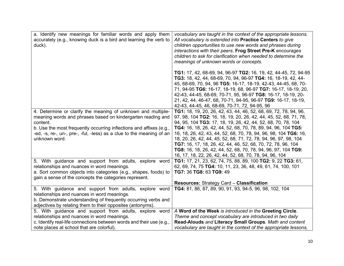| a. Identify new meanings for familiar words and apply them<br>accurately (e.g., knowing duck is a bird and learning the verb to<br>duck).                                                                                                                                                               | vocabulary are taught in the context of the appropriate lessons.<br>All vocabulary is extended into Practice Centers to give<br>children opportunities to use new words and phrases during<br>interactions with their peers. Frog Street Pre-K encourages<br>children to ask for clarification when needed to determine the<br>meanings of unknown words or concepts.                                                                                                                                                                                                                                           |
|---------------------------------------------------------------------------------------------------------------------------------------------------------------------------------------------------------------------------------------------------------------------------------------------------------|-----------------------------------------------------------------------------------------------------------------------------------------------------------------------------------------------------------------------------------------------------------------------------------------------------------------------------------------------------------------------------------------------------------------------------------------------------------------------------------------------------------------------------------------------------------------------------------------------------------------|
|                                                                                                                                                                                                                                                                                                         | TG1: 17, 42, 68-69, 94, 96-97 TG2: 16, 19, 42, 44-45, 72, 94-95<br>TG3: 18, 42, 44, 68-69, 70, 94, 96-97 TG4: 16, 18-19, 42, 44-<br>45, 68-69, 70, 94, 96 TG5: 16-17, 18-19, 42-43, 44-45, 68, 70-<br>71, 94-95 TG6: 16-17, 18-19, 68, 96-97 TG7: 16-17, 18-19, 20,<br>42-43, 44-45, 68-69, 70-71, 95, 96-97 TG8: 16-17, 18-19, 20-<br>21, 42, 44, 46-47, 68, 70-71, 94-95, 96-97 TG9: 16-17, 18-19,<br>42-43, 44-45, 46, 68-69, 70-71, 72, 94-95, 96                                                                                                                                                           |
| 4. Determine or clarify the meaning of unknown and multiple-<br>meaning words and phrases based on kindergarten reading and<br>content.<br>b. Use the most frequently occurring inflections and affixes (e.g.,<br>-ed, -s, re-, un-, pre-, -ful, -less) as a clue to the meaning of an<br>unknown word. | <b>TG1:</b> 18, 19, 20, 26, 42, 43, 44, 46, 52, 68, 69, 72, 78, 94, 96,<br>97, 98, 104 TG2: 16, 18, 19, 20, 26, 42, 44, 45, 52, 68, 71, 78,<br>94, 95, 104 TG3: 17, 18, 19, 26, 42, 44, 52, 68, 70, 78, 104<br>TG4: 16, 18, 26, 42, 44, 52, 68, 70, 78, 89, 94, 96, 104 TG5:<br>16, 18, 26, 42, 43, 44, 52, 68, 70, 78, 94, 96, 98, 104 TG6: 16,<br>18, 20, 26, 42, 44, 45, 52, 68, 71, 72, 78, 94, 96, 97, 98, 104<br>TG7: 16, 17, 18, 26, 42, 44, 46, 52, 68, 70, 72, 78, 96, 104<br>TG8: 16, 18, 26, 42, 44, 52, 68, 70, 78, 94, 96, 97, 104 TG9:<br>16, 17, 18, 22, 26, 42, 44, 52, 68, 70, 78, 94, 96, 104 |
| 5. With guidance and support from adults, explore word<br>relationships and nuances in word meanings.<br>a. Sort common objects into categories (e.g., shapes, foods) to<br>gain a sense of the concepts the categories represent.                                                                      | TG1: 17, 21, 23, 62, 74, 75, 88, 89, 100 TG2: 9, 22 TG3: 61,<br>62, 69, 74, 75 TG4: 10, 11, 23, 36, 48, 49, 61, 74, 100, 101<br>TG7: 36 TG8: 63 TG9: 49<br><b>Resources: Strategy Card - Classification</b>                                                                                                                                                                                                                                                                                                                                                                                                     |
| 5. With guidance and support from adults, explore word<br>relationships and nuances in word meanings.<br>b. Demonstrate understanding of frequently occurring verbs and<br>adjectives by relating them to their opposites (antonyms).                                                                   | TG4: 81, 86, 87, 89, 90, 91, 93, 94-5, 96, 98, 102, 104                                                                                                                                                                                                                                                                                                                                                                                                                                                                                                                                                         |
| 5. With guidance and support from adults, explore word<br>relationships and nuances in word meanings.<br>c. Identify real-life connections between words and their use (e.g.,<br>note places at school that are colorful).                                                                              | A Word of the Week is introduced in the Greeting Circle.<br>Theme and concept vocabulary are introduced in two daily<br>Read-Alouds and Literacy Small Groups. Math and content<br>vocabulary are taught in the context of the appropriate lessons,                                                                                                                                                                                                                                                                                                                                                             |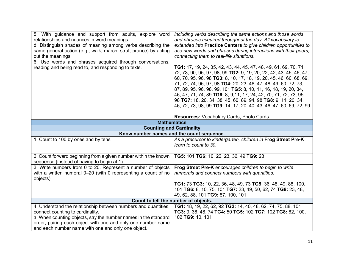| 5. With guidance and support from adults, explore word<br>relationships and nuances in word meanings.<br>d. Distinguish shades of meaning among verbs describing the<br>same general action (e.g., walk, march, strut, prance) by acting<br>out the meanings<br>6. Use words and phrases acquired through conversations,<br>reading and being read to, and responding to texts. | including verbs describing the same actions and those words<br>and phrases acquired throughout the day. All vocabulary is<br>extended into Practice Centers to give children opportunities to<br>use new words and phrases during interactions with their peers,<br>connecting them to real-life situations.<br><b>TG1:</b> 17, 19, 24, 35, 42, 43, 44, 45, 47, 48, 49, 61, 69, 70, 71,<br>72, 73, 90, 95, 97, 98, 99 TG2: 9, 19, 20, 22, 42, 43, 45, 46, 47,<br>60, 70, 95, 96, 98 TG3: 8, 10, 17, 18, 19, 20, 45, 46, 60, 68, 69,<br>71, 72, 74, 95, 97, 98 TG4: 20, 23, 46, 47, 48, 49, 60, 72, 73,<br>87, 89, 95, 96, 98, 99, 101 TG5: 8, 10, 11, 16, 18, 19, 20, 34,<br>46, 47, 71, 74, 89 TG6: 8, 9, 11, 17, 24, 42, 70, 71, 72, 73, 95,<br>98 TG7: 18, 20, 34, 38, 45, 60, 89, 94, 98 TG8: 9, 11, 20, 34,<br>46, 72, 73, 98, 99 TG9: 14, 17, 20, 40, 43, 46, 47, 60, 69, 72, 99 |
|---------------------------------------------------------------------------------------------------------------------------------------------------------------------------------------------------------------------------------------------------------------------------------------------------------------------------------------------------------------------------------|----------------------------------------------------------------------------------------------------------------------------------------------------------------------------------------------------------------------------------------------------------------------------------------------------------------------------------------------------------------------------------------------------------------------------------------------------------------------------------------------------------------------------------------------------------------------------------------------------------------------------------------------------------------------------------------------------------------------------------------------------------------------------------------------------------------------------------------------------------------------------------------|
|                                                                                                                                                                                                                                                                                                                                                                                 | <b>Resources: Vocabulary Cards, Photo Cards</b>                                                                                                                                                                                                                                                                                                                                                                                                                                                                                                                                                                                                                                                                                                                                                                                                                                        |
| <b>Mathematics</b><br><b>Counting and Cardinality</b>                                                                                                                                                                                                                                                                                                                           |                                                                                                                                                                                                                                                                                                                                                                                                                                                                                                                                                                                                                                                                                                                                                                                                                                                                                        |
| Know number names and the count sequence.                                                                                                                                                                                                                                                                                                                                       |                                                                                                                                                                                                                                                                                                                                                                                                                                                                                                                                                                                                                                                                                                                                                                                                                                                                                        |
| 1. Count to 100 by ones and by tens                                                                                                                                                                                                                                                                                                                                             | As a precursor to kindergarten, children in Frog Street Pre-K<br>learn to count to 30.                                                                                                                                                                                                                                                                                                                                                                                                                                                                                                                                                                                                                                                                                                                                                                                                 |
| 2. Count forward beginning from a given number within the known<br>sequence (instead of having to begin at 1)                                                                                                                                                                                                                                                                   | TG5: 101 TG6: 10, 22, 23, 36, 49 TG9: 23                                                                                                                                                                                                                                                                                                                                                                                                                                                                                                                                                                                                                                                                                                                                                                                                                                               |
| 3. Write numbers from 0 to 20. Represent a number of objects<br>with a written numeral 0-20 (with 0 representing a count of no<br>objects).                                                                                                                                                                                                                                     | Frog Street Pre-K encourages children to begin to write<br>numerals and connect numbers with quantities.<br>TG1: 73 TG3: 10, 22, 36, 48, 49, 73 TG5: 36, 48, 49, 88, 100,<br>101 TG6: 8, 10, 75, 101 TG7: 23, 49, 50, 62, 74 TG8: 23, 48,<br>49, 62, 88, 101 TG9: 87, 100, 101                                                                                                                                                                                                                                                                                                                                                                                                                                                                                                                                                                                                         |
|                                                                                                                                                                                                                                                                                                                                                                                 | Count to tell the number of objects.                                                                                                                                                                                                                                                                                                                                                                                                                                                                                                                                                                                                                                                                                                                                                                                                                                                   |
| 4. Understand the relationship between numbers and quantities;<br>connect counting to cardinality.<br>a. When counting objects, say the number names in the standard<br>order, pairing each object with one and only one number name<br>and each number name with one and only one object.                                                                                      | TG1: 18, 19, 22, 62, 92 TG2: 14, 40, 48, 62, 74, 75, 88, 101<br>TG3: 9, 36, 48, 74 TG4: 50 TG5: 102 TG7: 102 TG8: 62, 100,<br>102 TG9: 10, 101                                                                                                                                                                                                                                                                                                                                                                                                                                                                                                                                                                                                                                                                                                                                         |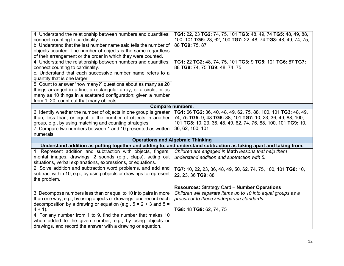| 4. Understand the relationship between numbers and quantities;<br>connect counting to cardinality.<br>b. Understand that the last number name said tells the number of<br>objects counted. The number of objects is the same regardless<br>of their arrangement or the order in which they were counted.                                                                                                                                            | TG1: 22, 23 TG2: 74, 75, 101 TG3: 48, 49, 74 TG5: 48, 49, 88,<br>100, 101 TG6: 23, 62, 100 TG7: 22, 48, 74 TG8: 48, 49, 74, 75,<br>88 TG9: 75, 87                                                                    |
|-----------------------------------------------------------------------------------------------------------------------------------------------------------------------------------------------------------------------------------------------------------------------------------------------------------------------------------------------------------------------------------------------------------------------------------------------------|----------------------------------------------------------------------------------------------------------------------------------------------------------------------------------------------------------------------|
| 4. Understand the relationship between numbers and quantities;<br>connect counting to cardinality.<br>c. Understand that each successive number name refers to a<br>quantity that is one larger.<br>5. Count to answer "how many?" questions about as many as 20<br>things arranged in a line, a rectangular array, or a circle, or as<br>many as 10 things in a scattered configuration; given a number<br>from 1-20, count out that many objects. | TG1: 22 TG2: 48, 74, 75, 101 TG3: 9 TG5: 101 TG6: 87 TG7:<br>88 TG8: 74, 75 TG9: 48, 74, 75                                                                                                                          |
|                                                                                                                                                                                                                                                                                                                                                                                                                                                     | Compare numbers.                                                                                                                                                                                                     |
| 6. Identify whether the number of objects in one group is greater<br>than, less than, or equal to the number of objects in another<br>group, e.g., by using matching and counting strategies.<br>7. Compare two numbers between 1 and 10 presented as written<br>numerals.                                                                                                                                                                          | TG1: 66 TG2: 36, 40, 48, 49, 62, 75, 88, 100, 101 TG3: 48, 49,<br>74, 75 TG5: 9, 48 TG6: 88, 101 TG7: 10, 23, 36, 49, 88, 100,<br>101 TG8: 10, 23, 36, 48, 49, 62, 74, 76, 88, 100, 101 TG9: 10,<br>36, 62, 100, 101 |
|                                                                                                                                                                                                                                                                                                                                                                                                                                                     | <b>Operations and Algebraic Thinking</b>                                                                                                                                                                             |
|                                                                                                                                                                                                                                                                                                                                                                                                                                                     | Understand addition as putting together and adding to, and understand subtraction as taking apart and taking from.                                                                                                   |
| 1. Represent addition and subtraction with objects, fingers,<br>mental images, drawings, 2 sounds (e.g., claps), acting out<br>situations, verbal explanations, expressions, or equations.                                                                                                                                                                                                                                                          | Children are engaged in Math lessons that help them<br>understand addition and subtraction with 5.                                                                                                                   |
| 2. Solve addition and subtraction word problems, and add and<br>subtract within 10, e.g., by using objects or drawings to represent<br>the problem.                                                                                                                                                                                                                                                                                                 | TG7: 10, 22, 23, 36, 48, 49, 50, 62, 74, 75, 100, 101 TG8: 10,<br>22, 23, 36 TG9: 88                                                                                                                                 |
|                                                                                                                                                                                                                                                                                                                                                                                                                                                     | <b>Resources: Strategy Card - Number Operations</b>                                                                                                                                                                  |
| 3. Decompose numbers less than or equal to 10 into pairs in more<br>than one way, e.g., by using objects or drawings, and record each<br>decomposition by a drawing or equation (e.g., $5 = 2 + 3$ and $5 =$<br>$4 + 1$ ).                                                                                                                                                                                                                          | Children will separate items up to 10 into equal groups as a<br>precursor to these kindergarten standards.<br>TG8: 48 TG9: 62, 74, 75                                                                                |
| 4. For any number from 1 to 9, find the number that makes 10<br>when added to the given number, e.g., by using objects or<br>drawings, and record the answer with a drawing or equation.                                                                                                                                                                                                                                                            |                                                                                                                                                                                                                      |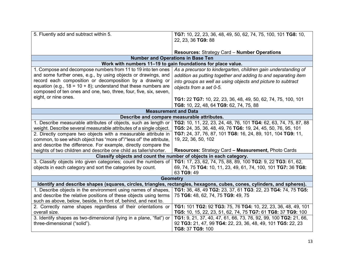| 5. Fluently add and subtract within 5.                                                                                  | TG7: 10, 22, 23, 36, 48, 49, 50, 62, 74, 75, 100, 101 TG8: 10,   |
|-------------------------------------------------------------------------------------------------------------------------|------------------------------------------------------------------|
|                                                                                                                         | 22, 23, 36 TG9: 88                                               |
|                                                                                                                         |                                                                  |
|                                                                                                                         | <b>Resources: Strategy Card - Number Operations</b>              |
| <b>Number and Operations in Base Ten</b>                                                                                |                                                                  |
| Work with numbers 11-19 to gain foundations for place value.                                                            |                                                                  |
| 1. Compose and decompose numbers from 11 to 19 into ten ones                                                            | As a precursor to kindergarten, children gain understanding of   |
| and some further ones, e.g., by using objects or drawings, and                                                          | addition as putting together and adding to and separating item   |
| record each composition or decomposition by a drawing or                                                                | into groups as well as using objects and picture to subtract     |
| equation (e.g., $18 = 10 + 8$ ); understand that these numbers are                                                      | objects from a set 0-5.                                          |
| composed of ten ones and one, two, three, four, five, six, seven,                                                       |                                                                  |
| eight, or nine ones.                                                                                                    | TG1: 22 TG7: 10, 22, 23, 36, 48, 49, 50, 62, 74, 75, 100, 101    |
|                                                                                                                         | TG8: 10, 22, 48, 64 TG9: 62, 74, 75, 88                          |
| <b>Measurement and Data</b>                                                                                             |                                                                  |
| Describe and compare measurable attributes.                                                                             |                                                                  |
| 1. Describe measurable attributes of objects, such as length or                                                         | TG2: 10, 11, 22, 23, 24, 48, 76, 101 TG4: 62, 63, 74, 75, 87, 88 |
| weight. Describe several measurable attributes of a single object.                                                      | TG5: 24, 35, 36, 48, 49, 76 TG6: 19, 24, 45, 50, 76, 95, 101     |
| 2. Directly compare two objects with a measurable attribute in                                                          | TG7: 24, 37, 76, 87, 101 TG8: 16, 24, 89, 101, 104 TG9: 11,      |
| common, to see which object has "more of"/"less of" the attribute,                                                      | 19, 22, 36, 50, 102                                              |
| and describe the difference. For example, directly compare the                                                          |                                                                  |
| heights of two children and describe one child as taller/shorter.                                                       | <b>Resources: Strategy Card - Measurement, Photo Cards</b>       |
| Classify objects and count the number of objects in each category.                                                      |                                                                  |
| 3. Classify objects into given categories; count the numbers of                                                         | TG1: 17, 23, 62, 74, 75, 88, 89, 100 TG2: 9, 22 TG3: 61, 62,     |
| objects in each category and sort the categories by count.                                                              | 69, 74, 75 TG4: 10, 11, 23, 49, 61, 74, 100, 101 TG7: 36 TG8:    |
|                                                                                                                         | 63 TG9: 49                                                       |
| <b>Geometry</b>                                                                                                         |                                                                  |
| Identify and describe shapes (squares, circles, triangles, rectangles, hexagons, cubes, cones, cylinders, and spheres). |                                                                  |
| 1. Describe objects in the environment using names of shapes,                                                           | TG1: 36, 48, 49 TG2: 23, 37, 61 TG3: 22, 23 TG4: 74, 75 TG5:     |
| and describe the relative positions of these objects using terms                                                        | 75 TG6: 48, 62, 74, 75 TG9: 49, 75                               |
| such as above, below, beside, in front of, behind, and next to.                                                         |                                                                  |
| 2. Correctly name shapes regardless of their orientations or                                                            | TG1: 101 TG2: 92 TG3: 75, 76 TG4: 10, 22, 23, 36, 48, 49, 101    |
| overall size.                                                                                                           | TG5: 10, 15, 22, 23, 51, 62, 74, 75 TG7: 61 TG8: 37 TG9: 100     |
| 3. Identify shapes as two-dimensional (lying in a plane, "flat") or                                                     | TG1: 9, 21, 37, 40, 47, 61, 66, 73, 76, 92, 99, 100 TG2: 21, 66, |
| three-dimensional ("solid").                                                                                            | 92 TG3: 21, 47, 99 TG4: 22, 23, 36, 48, 49, 101 TG5: 22, 23      |
|                                                                                                                         | TG8: 37 TG9: 100                                                 |